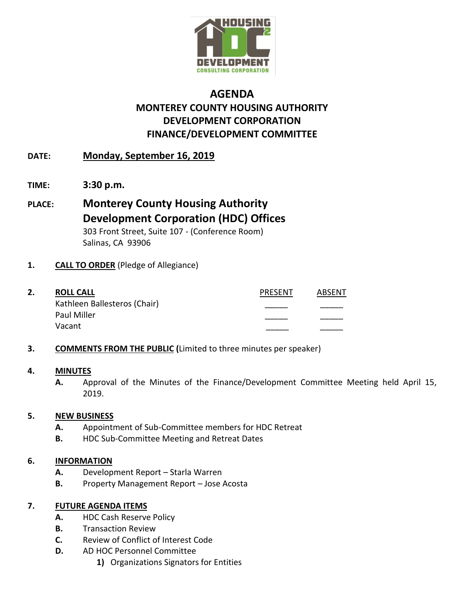

# **AGENDA MONTEREY COUNTY HOUSING AUTHORITY DEVELOPMENT CORPORATION FINANCE/DEVELOPMENT COMMITTEE**

# **DATE: Monday, September 16, 2019**

- **TIME: 3:30 p.m.**
- **PLACE: Monterey County Housing Authority Development Corporation (HDC) Offices** 303 Front Street, Suite 107 - (Conference Room) Salinas, CA 93906

## **1. CALL TO ORDER** (Pledge of Allegiance)

- **2. ROLL CALL** PRESENT ABSENT Kathleen Ballesteros (Chair) Paul Miller Vacant \_\_\_\_\_ \_\_\_\_\_
- **3. COMMENTS FROM THE PUBLIC (**Limited to three minutes per speaker)

### **4. MINUTES**

**A.** Approval of the Minutes of the Finance/Development Committee Meeting held April 15, 2019.

### **5. NEW BUSINESS**

- **A.** Appointment of Sub-Committee members for HDC Retreat
- **B.** HDC Sub-Committee Meeting and Retreat Dates

### **6. INFORMATION**

- **A.** Development Report Starla Warren
- **B.** Property Management Report Jose Acosta

## **7. FUTURE AGENDA ITEMS**

- **A.** HDC Cash Reserve Policy
- **B.** Transaction Review
- **C.** Review of Conflict of Interest Code
- **D.** AD HOC Personnel Committee
	- **1)** Organizations Signators for Entities